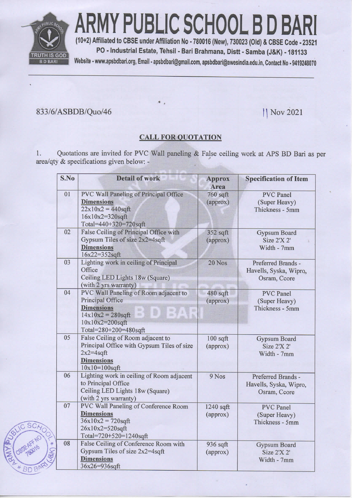

ARMY PUBLIC SCHOOL B D BA

(10+2) Affiliated to CBSE under Affiliation No - 780016 (New), 730023 (Old) & CBSE Code - 23521 PO - Industrial Estate, Tehsil - Bari Brahmana, Distt - Samba (J&K) - 181133 Website - www.apsbdbari.org, Email - apsbdbari@gmail.com, apsbdbari@awesindia.edu.in, Contact No - 9419248070

## 833/6/ASBDB/Quo/46

|| Nov 2021

## **CALL FOR QUOTATION**

Quotations are invited for PVC Wall paneling & False ceiling work at APS BD Bari as per  $1.$ area/qty & specifications given below: -

| S.No | <b>Detail of work</b>                                                                                                                                                          | <b>Approx</b><br>Area  | <b>Specification of Item</b>                                 |
|------|--------------------------------------------------------------------------------------------------------------------------------------------------------------------------------|------------------------|--------------------------------------------------------------|
| 01   | <b>PVC Wall Paneling of Principal Office</b><br><b>Dimensions</b><br>$22x10x2 = 440$ sqft<br>16x10x2=320sqft<br>Total=440+320=720sqft                                          | 760 sqft<br>(approx)   | <b>PVC</b> Panel<br>(Super Heavy)<br>Thickness - 5mm         |
| 02   | False Ceiling of Principal Office with<br>Gypsum Tiles of size 2x2=4sqft<br><b>Dimensions</b><br>16x22=352sqft                                                                 | 352 sqft<br>(approx)   | Gypsum Board<br>Size 2'X 2'<br>Width - 7mm                   |
| 03   | Lighting work in ceiling of Principal<br>Office<br>Ceiling LED Lights 18w (Square)<br>(with 2 yrs warranty)                                                                    | 20 Nos                 | Preferred Brands -<br>Havells, Syska, Wipro,<br>Osram, Ccore |
| 04   | PVC Wall Paneling of Room adjacent to<br><b>Principal Office</b><br><b>Dimensions</b><br>88<br>$14x10x2 = 280$ sqft<br>in.<br>1999<br>10x10x2=200sqft<br>Total=280+200=480sqft | 480 sqft<br>(approx)   | <b>PVC</b> Panel<br>(Super Heavy)<br>Thickness - 5mm         |
| 05   | False Ceiling of Room adjacent to<br>Principal Office with Gypsum Tiles of size<br>$2x2=4$ sqft<br><b>Dimensions</b><br>$10x10=100$ sqft                                       | $100$ sqft<br>(approx) | <b>Gypsum Board</b><br>Size 2'X 2'<br>Width - 7mm            |
| 06   | Lighting work in ceiling of Room adjacent<br>to Principal Office<br>Ceiling LED Lights 18w (Square)<br>(with 2 yrs warranty)                                                   | $9$ Nos                | Preferred Brands -<br>Havells, Syska, Wipro,<br>Osram, Ccore |
| 07   | PVC Wall Paneling of Conference Room<br><b>Dimensions</b><br>$36x10x2 = 720$ sqft<br>26x10x2=520sqft<br>Total=720+520=1240sqft                                                 | 1240 sqft<br>(approx)  | <b>PVC</b> Panel<br>(Super Heavy)<br>Thickness - 5mm         |
| 08   | False Ceiling of Conference Room with<br>Gypsum Tiles of size 2x2=4sqft<br><b>Dimensions</b><br>36x26=936sqft                                                                  | 936 sqft<br>(approx)   | <b>Gypsum Board</b><br>Size 2'X 2'<br>Width - 7mm            |

**BDB**